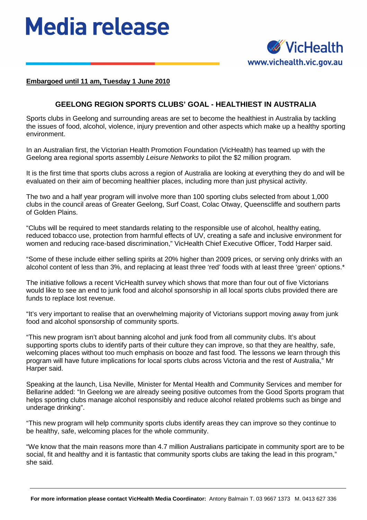



## **Embargoed until 11 am, Tuesday 1 June 2010**

## **GEELONG REGION SPORTS CLUBS' GOAL - HEALTHIEST IN AUSTRALIA**

Sports clubs in Geelong and surrounding areas are set to become the healthiest in Australia by tackling the issues of food, alcohol, violence, injury prevention and other aspects which make up a healthy sporting environment.

In an Australian first, the Victorian Health Promotion Foundation (VicHealth) has teamed up with the Geelong area regional sports assembly *Leisure Networks* to pilot the \$2 million program.

It is the first time that sports clubs across a region of Australia are looking at everything they do and will be evaluated on their aim of becoming healthier places, including more than just physical activity.

The two and a half year program will involve more than 100 sporting clubs selected from about 1,000 clubs in the council areas of Greater Geelong, Surf Coast, Colac Otway, Queenscliffe and southern parts of Golden Plains.

"Clubs will be required to meet standards relating to the responsible use of alcohol, healthy eating, reduced tobacco use, protection from harmful effects of UV, creating a safe and inclusive environment for women and reducing race-based discrimination," VicHealth Chief Executive Officer, Todd Harper said.

"Some of these include either selling spirits at 20% higher than 2009 prices, or serving only drinks with an alcohol content of less than 3%, and replacing at least three 'red' foods with at least three 'green' options.\*

The initiative follows a recent VicHealth survey which shows that more than four out of five Victorians would like to see an end to junk food and alcohol sponsorship in all local sports clubs provided there are funds to replace lost revenue.

"It's very important to realise that an overwhelming majority of Victorians support moving away from junk food and alcohol sponsorship of community sports.

"This new program isn't about banning alcohol and junk food from all community clubs. It's about supporting sports clubs to identify parts of their culture they can improve, so that they are healthy, safe, welcoming places without too much emphasis on booze and fast food. The lessons we learn through this program will have future implications for local sports clubs across Victoria and the rest of Australia," Mr Harper said.

Speaking at the launch, Lisa Neville, Minister for Mental Health and Community Services and member for Bellarine added: "In Geelong we are already seeing positive outcomes from the Good Sports program that helps sporting clubs manage alcohol responsibly and reduce alcohol related problems such as binge and underage drinking".

"This new program will help community sports clubs identify areas they can improve so they continue to be healthy, safe, welcoming places for the whole community.

"We know that the main reasons more than 4.7 million Australians participate in community sport are to be social, fit and healthy and it is fantastic that community sports clubs are taking the lead in this program," she said.